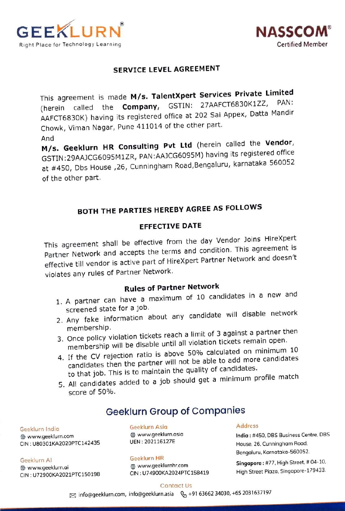



## SERVICE LEVEL AGREEMENT

This agreement is made M/s. TalentXpert Services Private Limited (herein called the Company, GSTIN: 27AAFCT6830K1ZZ, AAFCT6830K) having its registered office at 202 Sai Appex, Datta Mandir Chowk, Viman Nagar, Pune 411014 of the other part. And

M/s. Geeklurn HR Consulting Pvt Ltd (herein called the Vendor, GSTIN:29AAJCG6095M 1ZR, PAN:AAJCG6095M) having its registered office at # 450, Dbs House ,26, Cunningham Road,Bengaluru, karnataka 560052 of the other part.

# BOTH THE PARTIES HEREBY AGREE AS FOLLOWS

## EFFECTIVE DATE

This agreement shall be effective from the day Vendor Joins HireXpert Partner Network and accepts the terms and condition. This agreement is effective till vendor is active part of HireXpert Partner Network and doesn't violates any rules of Partner Network.

# Rules of Partner Network

- 1. A partner can have a maximum of 10 candidates in a new and screened state for a job.
- 2. Any fake information about any candidate will disable network<br>membership.
- membership.<br>3. Once policy violation tickets reach a limit of 3 against a partner then<br>1. Welation tickets remain open. membership will be disable until all violation tickets remain open.
- 4. If the CV rejection ratio is above 50% calculated on minimum 10 candidates then the partner will not be able to add more candidates to that job. This is to maintain the quality of candidates.
- 5. All candidates added to a job should get a minimum profile match

## score of 50%.

# Geeklurn Group of Companies

Geeklurn India Geeklurn Asia Address

Geeklurn Al Geeklurn HR CIN: U72900KA2021PTC150198

www.geeklurnhr.com

www.geeklurn.com www.geeklurn.asia India: # 450, DBS Business Centre, DBS CIN: U80301KA2020PTC142435 UEN: 202116127E House, 26, Cunningham Road, Bengaluru, Karnataka-560052.

Singapore: #77, High Street, # 04-10. www.geeklurn.ai High Street Piaza, Singapore-179433.

### Contact Us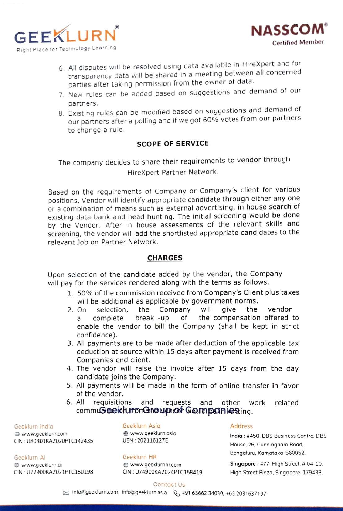



- 6. All disputes will be resolved using data available in HireXpert and for transparency data will be shared in a meeting between all concerned parties after taking permission from the owner of data.
- 7. New rules can be added based on suggestions and demand of our partners.
- 8. Existing rules can be modified based on suggestions and demand of Our partners after a polling and if we got 60°% votes from our partners to change a rule.

## SCOPE OF SERVICE

The company decides to share their requirements to vendor through HireXpert Partner Network.

Based on the requirements of Company or Company's client for various positions, Vendor will identify appropriate candidate through either any one or a combination of means such as external advertising, in house search of existing data bank and head hunting. The initial screening would be done by the Vendor. After in house assessments of the relevant skills and Screening, the vendor will add the shortlisted appropriate candidates to the relevant Job on Partner Network.

### CHARGES

Upon selection of the candidate added by the vendor, the Company will pay for the services rendered along with the terms as follows.

- 1. 50% of the commission received from Company's Client plus taxes will be additional as applicable by government norms.
- 2. On selection, the Company will give the vendor of give the the compensation offered to a complete break-up enable the vendor to bill the Company (shall be kept in strict confidence).
- 3. All payments are to be made after deduction of the applicable tax deduction at source within 15 days after payment is received from Companies end client.
- 4. The vendor will raise the invoice after 15 days from the day candidate joins the Company.
- 5. All payments will be made in the form of online transfer in favor of the vendor.
- 6. All requisitions and requests and commu<del>Gee</del>ikhunfonGhoupan Goumpaniesting. 6. All requisitions and requests and other work related

Dwww.geeklurn.com CIN: U80301 KA2020PTC142435

Geeklurn Al Geeklurn HR ⊕ www.geeklurn.ai<br>CIN : U72900KA2021PTC150198

### Geeklurn India Geeklurn Asia Address www.geeklurn.asia UEN: 202116127E

CIN:U74900KA2024PTC158419

India: #450, DBS Business Centre, DBS House, 26, Cunningham Road, Bengaluru, Karnatoka-560052.

www.geeklurnhr.com Singapore : #77, High Street, # 04-10. High Street Piaza, Singapore-179433.

### Contact Us